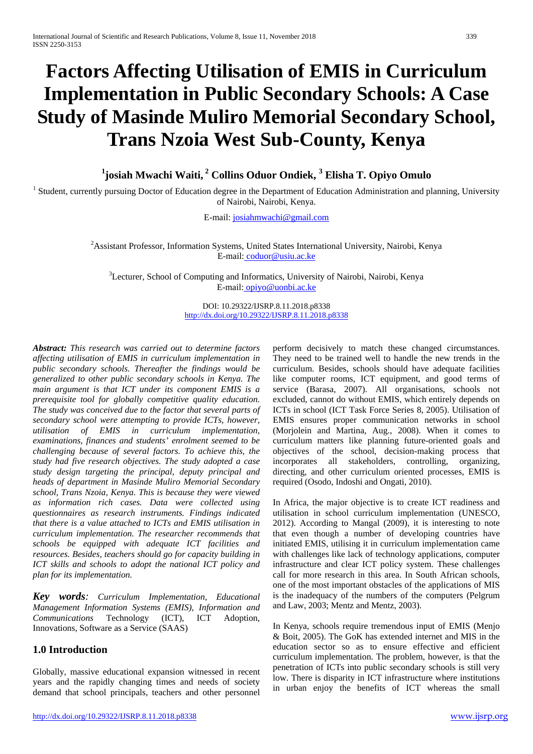# **Factors Affecting Utilisation of EMIS in Curriculum Implementation in Public Secondary Schools: A Case Study of Masinde Muliro Memorial Secondary School, Trans Nzoia West Sub-County, Kenya**

**1 josiah Mwachi Waiti, <sup>2</sup> Collins Oduor Ondiek, 3 Elisha T. Opiyo Omulo**

<sup>1</sup> Student, currently pursuing Doctor of Education degree in the Department of Education Administration and planning, University of Nairobi, Nairobi, Kenya.

E-mail: [josiahmwachi@gmail.com](mailto:josiahmwachi@gmail.com)

<sup>2</sup> Assistant Professor, Information Systems, United States International University, Nairobi, Kenya E-mail: coduor@usiu.ac.ke

<sup>3</sup>Lecturer, School of Computing and Informatics, University of Nairobi, Nairobi, Kenya E-mail: [opiyo@uonbi.ac.ke](mailto:opiyo@uonbi.ac.ke)

> DOI: 10.29322/IJSRP.8.11.2018.p8338 <http://dx.doi.org/10.29322/IJSRP.8.11.2018.p8338>

*Abstract: This research was carried out to determine factors affecting utilisation of EMIS in curriculum implementation in public secondary schools. Thereafter the findings would be generalized to other public secondary schools in Kenya. The main argument is that ICT under its component EMIS is a prerequisite tool for globally competitive quality education. The study was conceived due to the factor that several parts of secondary school were attempting to provide ICTs, however, utilisation of EMIS in curriculum implementation, examinations, finances and students' enrolment seemed to be challenging because of several factors. To achieve this, the study had five research objectives. The study adopted a case study design targeting the principal, deputy principal and heads of department in Masinde Muliro Memorial Secondary school, Trans Nzoia, Kenya. This is because they were viewed as information rich cases. Data were collected using questionnaires as research instruments. Findings indicated that there is a value attached to ICTs and EMIS utilisation in curriculum implementation. The researcher recommends that schools be equipped with adequate ICT facilities and resources. Besides, teachers should go for capacity building in ICT skills and schools to adopt the national ICT policy and plan for its implementation.*

*Key words: Curriculum Implementation, Educational Management Information Systems (EMIS), Information and Communications* Technology (ICT), ICT Adoption, Innovations, Software as a Service (SAAS)

## **1.0 Introduction**

Globally, massive educational expansion witnessed in recent years and the rapidly changing times and needs of society demand that school principals, teachers and other personnel perform decisively to match these changed circumstances. They need to be trained well to handle the new trends in the curriculum. Besides, schools should have adequate facilities like computer rooms, ICT equipment, and good terms of service (Barasa, 2007). All organisations, schools not excluded, cannot do without EMIS, which entirely depends on ICTs in school (ICT Task Force Series 8, 2005). Utilisation of EMIS ensures proper communication networks in school (Morjolein and Martina, Aug., 2008). When it comes to curriculum matters like planning future-oriented goals and objectives of the school, decision-making process that incorporates all stakeholders, controlling, organizing, directing, and other curriculum oriented processes, EMIS is required (Osodo, Indoshi and Ongati, 2010).

In Africa, the major objective is to create ICT readiness and utilisation in school curriculum implementation (UNESCO, 2012). According to Mangal (2009), it is interesting to note that even though a number of developing countries have initiated EMIS, utilising it in curriculum implementation came with challenges like lack of technology applications, computer infrastructure and clear ICT policy system. These challenges call for more research in this area. In South African schools, one of the most important obstacles of the applications of MIS is the inadequacy of the numbers of the computers (Pelgrum and Law, 2003; Mentz and Mentz, 2003).

In Kenya, schools require tremendous input of EMIS (Menjo & Boit, 2005). The GoK has extended internet and MIS in the education sector so as to ensure effective and efficient curriculum implementation. The problem, however, is that the penetration of ICTs into public secondary schools is still very low. There is disparity in ICT infrastructure where institutions in urban enjoy the benefits of ICT whereas the small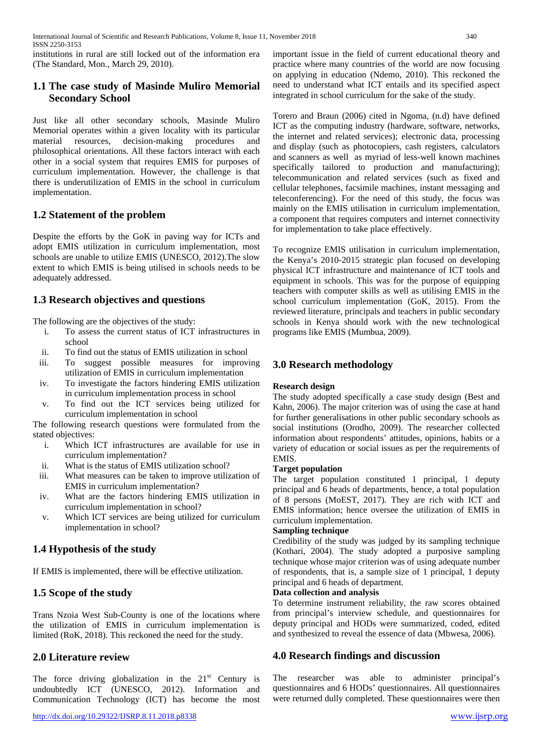institutions in rural are still locked out of the information era (The Standard, Mon., March 29, 2010).

# **1.1 The case study of Masinde Muliro Memorial Secondary School**

Just like all other secondary schools, Masinde Muliro Memorial operates within a given locality with its particular material resources, decision-making procedures and philosophical orientations. All these factors interact with each other in a social system that requires EMIS for purposes of curriculum implementation. However, the challenge is that there is underutilization of EMIS in the school in curriculum implementation.

# **1.2 Statement of the problem**

Despite the efforts by the GoK in paving way for ICTs and adopt EMIS utilization in curriculum implementation, most schools are unable to utilize EMIS (UNESCO, 2012).The slow extent to which EMIS is being utilised in schools needs to be adequately addressed.

# **1.3 Research objectives and questions**

The following are the objectives of the study:

- i. To assess the current status of ICT infrastructures in school
- ii. To find out the status of EMIS utilization in school
- iii. To suggest possible measures for improving utilization of EMIS in curriculum implementation
- iv. To investigate the factors hindering EMIS utilization in curriculum implementation process in school
- v. To find out the ICT services being utilized for curriculum implementation in school

The following research questions were formulated from the stated objectives:

- i. Which ICT infrastructures are available for use in curriculum implementation?
- ii. What is the status of EMIS utilization school?<br>iii. What measures can be taken to improve utiliz
- What measures can be taken to improve utilization of EMIS in curriculum implementation?
- iv. What are the factors hindering EMIS utilization in curriculum implementation in school?
- v. Which ICT services are being utilized for curriculum implementation in school?

# **1.4 Hypothesis of the study**

If EMIS is implemented, there will be effective utilization.

# **1.5 Scope of the study**

Trans Nzoia West Sub-County is one of the locations where the utilization of EMIS in curriculum implementation is limited (RoK, 2018). This reckoned the need for the study.

## **2.0 Literature review**

The force driving globalization in the  $21<sup>st</sup>$  Century is undoubtedly ICT (UNESCO, 2012). Information and Communication Technology (ICT) has become the most important issue in the field of current educational theory and practice where many countries of the world are now focusing on applying in education (Ndemo, 2010). This reckoned the need to understand what ICT entails and its specified aspect integrated in school curriculum for the sake of the study.

Torero and Braun (2006) cited in Ngoma, (n.d) have defined ICT as the computing industry (hardware, software, networks, the internet and related services); electronic data, processing and display (such as photocopiers, cash registers, calculators and scanners as well as myriad of less-well known machines specifically tailored to production and manufacturing); telecommunication and related services (such as fixed and cellular telephones, facsimile machines, instant messaging and teleconferencing). For the need of this study, the focus was mainly on the EMIS utilisation in curriculum implementation, a component that requires computers and internet connectivity for implementation to take place effectively.

To recognize EMIS utilisation in curriculum implementation, the Kenya's 2010-2015 strategic plan focused on developing physical ICT infrastructure and maintenance of ICT tools and equipment in schools. This was for the purpose of equipping teachers with computer skills as well as utilising EMIS in the school curriculum implementation (GoK, 2015). From the reviewed literature, principals and teachers in public secondary schools in Kenya should work with the new technological programs like EMIS (Mumbua, 2009).

# **3.0 Research methodology**

#### **Research design**

The study adopted specifically a case study design (Best and Kahn, 2006). The major criterion was of using the case at hand for further generalisations in other public secondary schools as social institutions (Orodho, 2009). The researcher collected information about respondents' attitudes, opinions, habits or a variety of education or social issues as per the requirements of EMIS.

#### **Target population**

The target population constituted 1 principal, 1 deputy principal and 6 heads of departments, hence, a total population of 8 persons (MoEST, 2017). They are rich with ICT and EMIS information; hence oversee the utilization of EMIS in curriculum implementation.

## **Sampling technique**

Credibility of the study was judged by its sampling technique (Kothari, 2004). The study adopted a purposive sampling technique whose major criterion was of using adequate number of respondents, that is, a sample size of 1 principal, 1 deputy principal and 6 heads of department.

#### **Data collection and analysis**

To determine instrument reliability, the raw scores obtained from principal's interview schedule, and questionnaires for deputy principal and HODs were summarized, coded, edited and synthesized to reveal the essence of data (Mbwesa, 2006).

## **4.0 Research findings and discussion**

The researcher was able to administer principal's questionnaires and 6 HODs' questionnaires. All questionnaires were returned dully completed. These questionnaires were then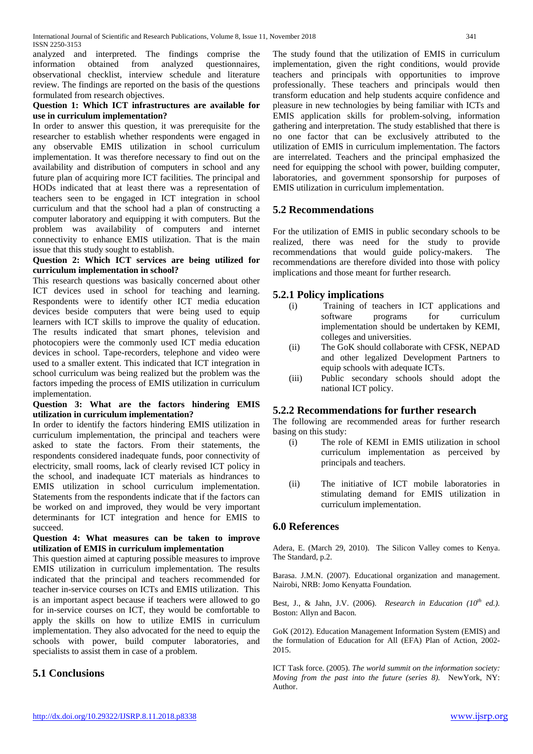analyzed and interpreted. The findings comprise the information obtained from analyzed questionnaires, observational checklist, interview schedule and literature review. The findings are reported on the basis of the questions formulated from research objectives.

#### **Question 1: Which ICT infrastructures are available for use in curriculum implementation?**

In order to answer this question, it was prerequisite for the researcher to establish whether respondents were engaged in any observable EMIS utilization in school curriculum implementation. It was therefore necessary to find out on the availability and distribution of computers in school and any future plan of acquiring more ICT facilities. The principal and HODs indicated that at least there was a representation of teachers seen to be engaged in ICT integration in school curriculum and that the school had a plan of constructing a computer laboratory and equipping it with computers. But the problem was availability of computers and internet connectivity to enhance EMIS utilization. That is the main issue that this study sought to establish.

#### **Question 2: Which ICT services are being utilized for curriculum implementation in school?**

This research questions was basically concerned about other ICT devices used in school for teaching and learning. Respondents were to identify other ICT media education devices beside computers that were being used to equip learners with ICT skills to improve the quality of education. The results indicated that smart phones, television and photocopiers were the commonly used ICT media education devices in school. Tape-recorders, telephone and video were used to a smaller extent. This indicated that ICT integration in school curriculum was being realized but the problem was the factors impeding the process of EMIS utilization in curriculum implementation.

#### **Question 3: What are the factors hindering EMIS utilization in curriculum implementation?**

In order to identify the factors hindering EMIS utilization in curriculum implementation, the principal and teachers were asked to state the factors. From their statements, the respondents considered inadequate funds, poor connectivity of electricity, small rooms, lack of clearly revised ICT policy in the school, and inadequate ICT materials as hindrances to EMIS utilization in school curriculum implementation. Statements from the respondents indicate that if the factors can be worked on and improved, they would be very important determinants for ICT integration and hence for EMIS to succeed.

#### **Question 4: What measures can be taken to improve utilization of EMIS in curriculum implementation**

This question aimed at capturing possible measures to improve EMIS utilization in curriculum implementation. The results indicated that the principal and teachers recommended for teacher in-service courses on ICTs and EMIS utilization. This is an important aspect because if teachers were allowed to go for in-service courses on ICT, they would be comfortable to apply the skills on how to utilize EMIS in curriculum implementation. They also advocated for the need to equip the schools with power, build computer laboratories, and specialists to assist them in case of a problem.

## **5.1 Conclusions**

The study found that the utilization of EMIS in curriculum implementation, given the right conditions, would provide teachers and principals with opportunities to improve professionally. These teachers and principals would then transform education and help students acquire confidence and pleasure in new technologies by being familiar with ICTs and EMIS application skills for problem-solving, information gathering and interpretation. The study established that there is no one factor that can be exclusively attributed to the utilization of EMIS in curriculum implementation. The factors are interrelated. Teachers and the principal emphasized the need for equipping the school with power, building computer, laboratories, and government sponsorship for purposes of EMIS utilization in curriculum implementation.

# **5.2 Recommendations**

For the utilization of EMIS in public secondary schools to be realized, there was need for the study to provide recommendations that would guide policy-makers. The recommendations are therefore divided into those with policy implications and those meant for further research.

## **5.2.1 Policy implications**

- (i) Training of teachers in ICT applications and software programs for curriculum implementation should be undertaken by KEMI, colleges and universities.
- (ii) The GoK should collaborate with CFSK, NEPAD and other legalized Development Partners to equip schools with adequate ICTs.
- (iii) Public secondary schools should adopt the national ICT policy.

## **5.2.2 Recommendations for further research**

The following are recommended areas for further research basing on this study:

- (i) The role of KEMI in EMIS utilization in school curriculum implementation as perceived by principals and teachers.
- (ii) The initiative of ICT mobile laboratories in stimulating demand for EMIS utilization in curriculum implementation.

## **6.0 References**

Adera, E. (March 29, 2010). The Silicon Valley comes to Kenya. The Standard, p.2.

Barasa. J.M.N. (2007). Educational organization and management. Nairobi, NRB: Jomo Kenyatta Foundation.

Best, J., & Jahn, J.V. (2006). *Research in Education (10th ed.).* Boston: Allyn and Bacon.

GoK (2012). Education Management Information System (EMIS) and the formulation of Education for All (EFA) Plan of Action, 2002- 2015.

ICT Task force. (2005). *The world summit on the information society: Moving from the past into the future (series 8).* NewYork, NY: Author.